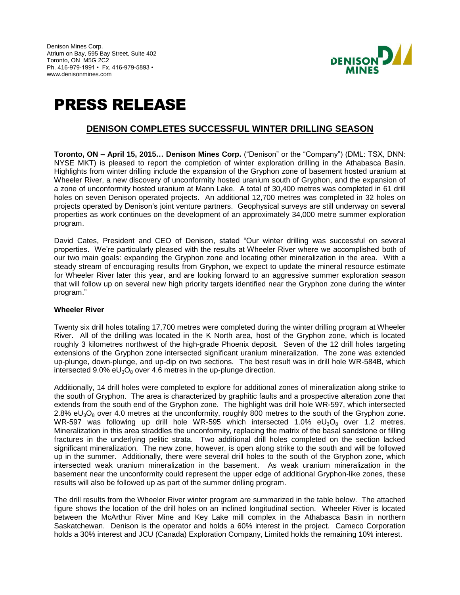Denison Mines Corp. Atrium on Bay, 595 Bay Street, Suite 402 Toronto, ON M5G 2C2 Ph. 416-979-1991 • Fx. 416-979-5893 • www.denisonmines.com



# PRESS RELEASE

## **DENISON COMPLETES SUCCESSFUL WINTER DRILLING SEASON**

**Toronto, ON – April 15, 2015… Denison Mines Corp.** ("Denison" or the "Company") (DML: TSX, DNN: NYSE MKT) is pleased to report the completion of winter exploration drilling in the Athabasca Basin. Highlights from winter drilling include the expansion of the Gryphon zone of basement hosted uranium at Wheeler River, a new discovery of unconformity hosted uranium south of Gryphon, and the expansion of a zone of unconformity hosted uranium at Mann Lake. A total of 30,400 metres was completed in 61 drill holes on seven Denison operated projects. An additional 12,700 metres was completed in 32 holes on projects operated by Denison's joint venture partners. Geophysical surveys are still underway on several properties as work continues on the development of an approximately 34,000 metre summer exploration program.

David Cates, President and CEO of Denison, stated "Our winter drilling was successful on several properties. We're particularly pleased with the results at Wheeler River where we accomplished both of our two main goals: expanding the Gryphon zone and locating other mineralization in the area. With a steady stream of encouraging results from Gryphon, we expect to update the mineral resource estimate for Wheeler River later this year, and are looking forward to an aggressive summer exploration season that will follow up on several new high priority targets identified near the Gryphon zone during the winter program."

#### **Wheeler River**

Twenty six drill holes totaling 17,700 metres were completed during the winter drilling program at Wheeler River. All of the drilling was located in the K North area, host of the Gryphon zone, which is located roughly 3 kilometres northwest of the high-grade Phoenix deposit. Seven of the 12 drill holes targeting extensions of the Gryphon zone intersected significant uranium mineralization. The zone was extended up-plunge, down-plunge, and up-dip on two sections. The best result was in drill hole WR-584B, which intersected 9.0%  $eU_3O_8$  over 4.6 metres in the up-plunge direction.

Additionally, 14 drill holes were completed to explore for additional zones of mineralization along strike to the south of Gryphon. The area is characterized by graphitic faults and a prospective alteration zone that extends from the south end of the Gryphon zone. The highlight was drill hole WR-597, which intersected 2.8% eU<sub>3</sub>O<sub>8</sub> over 4.0 metres at the unconformity, roughly 800 metres to the south of the Gryphon zone. WR-597 was following up drill hole WR-595 which intersected 1.0%  $eU_3O_8$  over 1.2 metres. Mineralization in this area straddles the unconformity, replacing the matrix of the basal sandstone or filling fractures in the underlying pelitic strata. Two additional drill holes completed on the section lacked significant mineralization. The new zone, however, is open along strike to the south and will be followed up in the summer. Additionally, there were several drill holes to the south of the Gryphon zone, which intersected weak uranium mineralization in the basement. As weak uranium mineralization in the basement near the unconformity could represent the upper edge of additional Gryphon-like zones, these results will also be followed up as part of the summer drilling program.

The drill results from the Wheeler River winter program are summarized in the table below. The attached figure shows the location of the drill holes on an inclined longitudinal section. Wheeler River is located between the McArthur River Mine and Key Lake mill complex in the Athabasca Basin in northern Saskatchewan. Denison is the operator and holds a 60% interest in the project. Cameco Corporation holds a 30% interest and JCU (Canada) Exploration Company, Limited holds the remaining 10% interest.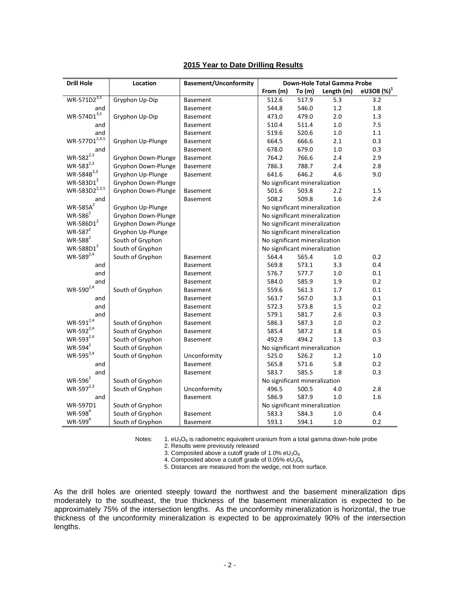| <b>Drill Hole</b>         | Location            | <b>Basement/Unconformity</b> | Down-Hole Total Gamma Probe   |        |            |                        |
|---------------------------|---------------------|------------------------------|-------------------------------|--------|------------|------------------------|
|                           |                     |                              | From (m)                      | To (m) | Length (m) | eU3O8 (%) <sup>1</sup> |
| WR-571D2 <sup>3,5</sup>   | Gryphon Up-Dip      | <b>Basement</b>              | 512.6                         | 517.9  | 5.3        | 3.2                    |
| and                       |                     | <b>Basement</b>              | 544.8                         | 546.0  | 1.2        | 1.8                    |
| $WR - 574D1^{3,5}$        | Gryphon Up-Dip      | <b>Basement</b>              | 473.0                         | 479.0  | 2.0        | 1.3                    |
| and                       |                     | <b>Basement</b>              | 510.4                         | 511.4  | $1.0\,$    | 7.5                    |
| and                       |                     | <b>Basement</b>              | 519.6                         | 520.6  | 1.0        | 1.1                    |
| $WR-577D1^{2,4,5}$        | Gryphon Up-Plunge   | <b>Basement</b>              | 664.5                         | 666.6  | 2.1        | 0.3                    |
| and                       |                     | <b>Basement</b>              | 678.0                         | 679.0  | 1.0        | 0.3                    |
| $WR - 582^{2,3}$          | Gryphon Down-Plunge | <b>Basement</b>              | 764.2                         | 766.6  | 2.4        | 2.9                    |
| WR-583 <sup>2,3</sup>     | Gryphon Down-Plunge | <b>Basement</b>              | 786.3                         | 788.7  | 2.4        | 2.8                    |
| WR-584B <sup>2,3</sup>    | Gryphon Up-Plunge   | <b>Basement</b>              | 641.6                         | 646.2  | 4.6        | 9.0                    |
| $WR-583D1^2$              | Gryphon Down-Plunge |                              | No significant mineralization |        |            |                        |
| WR-583D2 <sup>2,3,5</sup> | Gryphon Down-Plunge | <b>Basement</b>              | 501.6                         | 503.8  | 2.2        | 1.5                    |
| and                       |                     | <b>Basement</b>              | 508.2                         | 509.8  | 1.6        | 2.4                    |
| $WR-585A^2$               | Gryphon Up-Plunge   |                              | No significant mineralization |        |            |                        |
| $WR-586^2$                | Gryphon Down-Plunge |                              | No significant mineralization |        |            |                        |
| $WR-586D1^2$              | Gryphon Down-Plunge |                              | No significant mineralization |        |            |                        |
| $WR-587^2$                | Gryphon Up-Plunge   |                              | No significant mineralization |        |            |                        |
| $WR-588^2$                | South of Gryphon    |                              | No significant mineralization |        |            |                        |
| $WR$ -588D $1^2$          | South of Gryphon    |                              | No significant mineralization |        |            |                        |
| $WR - 589^{2,4}$          | South of Gryphon    | <b>Basement</b>              | 564.4                         | 565.4  | 1.0        | 0.2                    |
| and                       |                     | <b>Basement</b>              | 569.8                         | 573.1  | 3.3        | 0.4                    |
| and                       |                     | <b>Basement</b>              | 576.7                         | 577.7  | $1.0$      | 0.1                    |
| and                       |                     | <b>Basement</b>              | 584.0                         | 585.9  | 1.9        | 0.2                    |
| $WR - 590^{2,4}$          | South of Gryphon    | <b>Basement</b>              | 559.6                         | 561.3  | 1.7        | 0.1                    |
| and                       |                     | <b>Basement</b>              | 563.7                         | 567.0  | 3.3        | 0.1                    |
| and                       |                     | <b>Basement</b>              | 572.3                         | 573.8  | 1.5        | 0.2                    |
| and                       |                     | <b>Basement</b>              | 579.1                         | 581.7  | 2.6        | 0.3                    |
| $WR - 591^{2,4}$          | South of Gryphon    | <b>Basement</b>              | 586.3                         | 587.3  | $1.0\,$    | 0.2                    |
| WR-592 <sup>2,4</sup>     | South of Gryphon    | <b>Basement</b>              | 585.4                         | 587.2  | 1.8        | 0.5                    |
| WR-593 <sup>2,4</sup>     | South of Gryphon    | <b>Basement</b>              | 492.9                         | 494.2  | 1.3        | 0.3                    |
| $WR-594^2$                | South of Gryphon    |                              | No significant mineralization |        |            |                        |
| $WR - 595^{2,4}$          | South of Gryphon    | Unconformity                 | 525.0                         | 526.2  | 1.2        | $1.0\,$                |
| and                       |                     | <b>Basement</b>              | 565.8                         | 571.6  | 5.8        | 0.2                    |
| and                       |                     | <b>Basement</b>              | 583.7                         | 585.5  | 1.8        | 0.3                    |
| $WR-596^2$                | South of Gryphon    |                              | No significant mineralization |        |            |                        |
| $WR-597^{2,3}$            | South of Gryphon    | Unconformity                 | 496.5                         | 500.5  | 4.0        | 2.8                    |
| and                       |                     | <b>Basement</b>              | 586.9                         | 587.9  | 1.0        | 1.6                    |
| WR-597D1                  | South of Gryphon    |                              | No significant mineralization |        |            |                        |
| $WR-598^4$                | South of Gryphon    | <b>Basement</b>              | 583.3                         | 584.3  | 1.0        | 0.4                    |
| $WR-599^4$                | South of Gryphon    | <b>Basement</b>              | 593.1                         | 594.1  | 1.0        | 0.2                    |

### **2015 Year to Date Drilling Results**

Notes: 1. eU<sub>3</sub>O<sub>8</sub> is radiometric equivalent uranium from a total gamma down-hole probe

2. Results were previously released

3. Composited above a cutoff grade of 1.0% e $U_3O_8$ 

4. Composited above a cutoff grade of 0.05% e $U_3O_8$ 

5. Distances are measured from the wedge, not from surface.

As the drill holes are oriented steeply toward the northwest and the basement mineralization dips moderately to the southeast, the true thickness of the basement mineralization is expected to be approximately 75% of the intersection lengths. As the unconformity mineralization is horizontal, the true thickness of the unconformity mineralization is expected to be approximately 90% of the intersection lengths.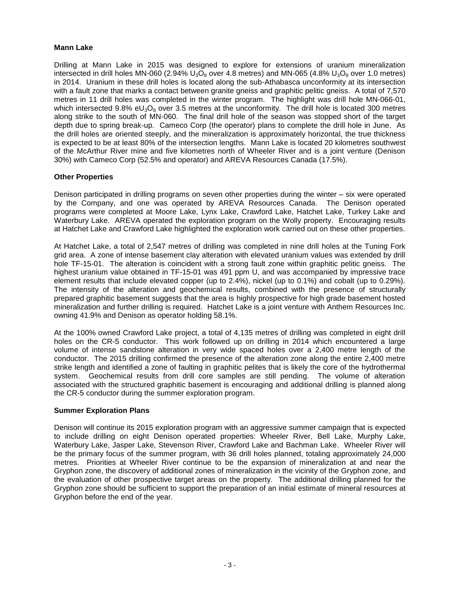#### **Mann Lake**

Drilling at Mann Lake in 2015 was designed to explore for extensions of uranium mineralization intersected in drill holes MN-060 (2.94%  $U_3O_8$  over 4.8 metres) and MN-065 (4.8%  $U_3O_8$  over 1.0 metres) in 2014. Uranium in these drill holes is located along the sub-Athabasca unconformity at its intersection with a fault zone that marks a contact between granite gneiss and graphitic pelitic gneiss. A total of 7,570 metres in 11 drill holes was completed in the winter program. The highlight was drill hole MN-066-01, which intersected 9.8% eU<sub>3</sub>O<sub>8</sub> over 3.5 metres at the unconformity. The drill hole is located 300 metres along strike to the south of MN-060. The final drill hole of the season was stopped short of the target depth due to spring break-up. Cameco Corp (the operator) plans to complete the drill hole in June. As the drill holes are oriented steeply, and the mineralization is approximately horizontal, the true thickness is expected to be at least 80% of the intersection lengths. Mann Lake is located 20 kilometres southwest of the McArthur River mine and five kilometres north of Wheeler River and is a joint venture (Denison 30%) with Cameco Corp (52.5% and operator) and AREVA Resources Canada (17.5%).

#### **Other Properties**

Denison participated in drilling programs on seven other properties during the winter – six were operated by the Company, and one was operated by AREVA Resources Canada. The Denison operated programs were completed at Moore Lake, Lynx Lake, Crawford Lake, Hatchet Lake, Turkey Lake and Waterbury Lake. AREVA operated the exploration program on the Wolly property. Encouraging results at Hatchet Lake and Crawford Lake highlighted the exploration work carried out on these other properties.

At Hatchet Lake, a total of 2,547 metres of drilling was completed in nine drill holes at the Tuning Fork grid area. A zone of intense basement clay alteration with elevated uranium values was extended by drill hole TF-15-01. The alteration is coincident with a strong fault zone within graphitic pelitic gneiss. The highest uranium value obtained in TF-15-01 was 491 ppm U, and was accompanied by impressive trace element results that include elevated copper (up to 2.4%), nickel (up to 0.1%) and cobalt (up to 0.29%). The intensity of the alteration and geochemical results, combined with the presence of structurally prepared graphitic basement suggests that the area is highly prospective for high grade basement hosted mineralization and further drilling is required. Hatchet Lake is a joint venture with Anthem Resources Inc. owning 41.9% and Denison as operator holding 58.1%.

At the 100% owned Crawford Lake project, a total of 4,135 metres of drilling was completed in eight drill holes on the CR-5 conductor. This work followed up on drilling in 2014 which encountered a large volume of intense sandstone alteration in very wide spaced holes over a 2,400 metre length of the conductor. The 2015 drilling confirmed the presence of the alteration zone along the entire 2,400 metre strike length and identified a zone of faulting in graphitic pelites that is likely the core of the hydrothermal system. Geochemical results from drill core samples are still pending. The volume of alteration associated with the structured graphitic basement is encouraging and additional drilling is planned along the CR-5 conductor during the summer exploration program.

#### **Summer Exploration Plans**

Denison will continue its 2015 exploration program with an aggressive summer campaign that is expected to include drilling on eight Denison operated properties: Wheeler River, Bell Lake, Murphy Lake, Waterbury Lake, Jasper Lake, Stevenson River, Crawford Lake and Bachman Lake. Wheeler River will be the primary focus of the summer program, with 36 drill holes planned, totaling approximately 24,000 metres. Priorities at Wheeler River continue to be the expansion of mineralization at and near the Gryphon zone, the discovery of additional zones of mineralization in the vicinity of the Gryphon zone, and the evaluation of other prospective target areas on the property. The additional drilling planned for the Gryphon zone should be sufficient to support the preparation of an initial estimate of mineral resources at Gryphon before the end of the year.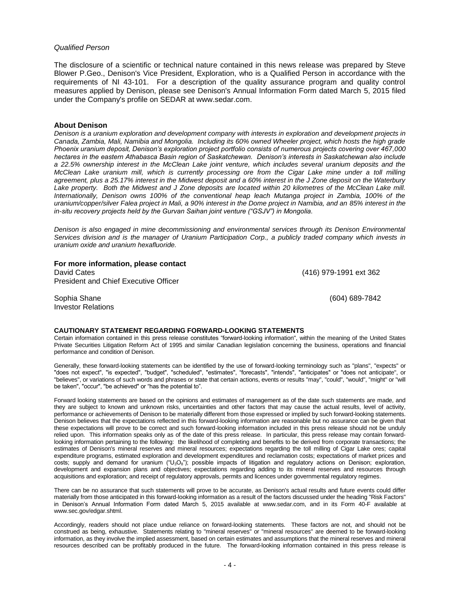#### *Qualified Person*

The disclosure of a scientific or technical nature contained in this news release was prepared by Steve Blower P.Geo., Denison's Vice President, Exploration, who is a Qualified Person in accordance with the requirements of NI 43-101. For a description of the quality assurance program and quality control measures applied by Denison, please see Denison's Annual Information Form dated March 5, 2015 filed under the Company's profile on SEDAR at www.sedar.com.

#### **About Denison**

*Denison is a uranium exploration and development company with interests in exploration and development projects in Canada, Zambia, Mali, Namibia and Mongolia. Including its 60% owned Wheeler project, which hosts the high grade Phoenix uranium deposit, Denison's exploration project portfolio consists of numerous projects covering over 467,000 hectares in the eastern Athabasca Basin region of Saskatchewan. Denison's interests in Saskatchewan also include a 22.5% ownership interest in the McClean Lake joint venture, which includes several uranium deposits and the McClean Lake uranium mill, which is currently processing ore from the Cigar Lake mine under a toll milling agreement, plus a 25.17% interest in the Midwest deposit and a 60% interest in the J Zone deposit on the Waterbury*  Lake property. Both the Midwest and J Zone deposits are located within 20 kilometres of the McClean Lake mill. *Internationally, Denison owns 100% of the conventional heap leach Mutanga project in Zambia, 100% of the uranium/copper/silver Falea project in Mali, a 90% interest in the Dome project in Namibia, and an 85% interest in the in-situ recovery projects held by the Gurvan Saihan joint venture ("GSJV") in Mongolia.*

*Denison is also engaged in mine decommissioning and environmental services through its Denison Environmental Services division and is the manager of Uranium Participation Corp., a publicly traded company which invests in uranium oxide and uranium hexafluoride.*

**For more information, please contact** David Cates (416) 979-1991 ext 362 President and Chief Executive Officer

Sophia Shane (604) 689-7842 Investor Relations

#### **CAUTIONARY STATEMENT REGARDING FORWARD-LOOKING STATEMENTS**

Certain information contained in this press release constitutes "forward-looking information", within the meaning of the United States Private Securities Litigation Reform Act of 1995 and similar Canadian legislation concerning the business, operations and financial performance and condition of Denison.

Generally, these forward-looking statements can be identified by the use of forward-looking terminology such as "plans", "expects" or "does not expect", "is expected", "budget", "scheduled", "estimates", "forecasts", "intends", "anticipates" or "does not anticipate", or "believes", or variations of such words and phrases or state that certain actions, events or results "may", "could", "would", "might" or "will be taken", "occur", "be achieved" or "has the potential to".

Forward looking statements are based on the opinions and estimates of management as of the date such statements are made, and they are subject to known and unknown risks, uncertainties and other factors that may cause the actual results, level of activity, performance or achievements of Denison to be materially different from those expressed or implied by such forward-looking statements. Denison believes that the expectations reflected in this forward-looking information are reasonable but no assurance can be given that these expectations will prove to be correct and such forward-looking information included in this press release should not be unduly relied upon. This information speaks only as of the date of this press release. In particular, this press release may contain forwardlooking information pertaining to the following: the likelihood of completing and benefits to be derived from corporate transactions; the estimates of Denison's mineral reserves and mineral resources; expectations regarding the toll milling of Cigar Lake ores; capital expenditure programs, estimated exploration and development expenditures and reclamation costs; expectations of market prices and costs; supply and demand for uranium ("U<sub>3</sub>O<sub>8</sub>"); possible impacts of litigation and regulatory actions on Denison; exploration, development and expansion plans and objectives; expectations regarding adding to its mineral reserves and resources through acquisitions and exploration; and receipt of regulatory approvals, permits and licences under governmental regulatory regimes.

There can be no assurance that such statements will prove to be accurate, as Denison's actual results and future events could differ materially from those anticipated in this forward-looking information as a result of the factors discussed under the heading "Risk Factors" in Denison's Annual Information Form dated March 5, 2015 available at www.sedar.com, and in its Form 40-F available at www.sec.gov/edgar.shtml.

Accordingly, readers should not place undue reliance on forward-looking statements. These factors are not, and should not be construed as being, exhaustive. Statements relating to "mineral reserves" or "mineral resources" are deemed to be forward-looking information, as they involve the implied assessment, based on certain estimates and assumptions that the mineral reserves and mineral resources described can be profitably produced in the future. The forward-looking information contained in this press release is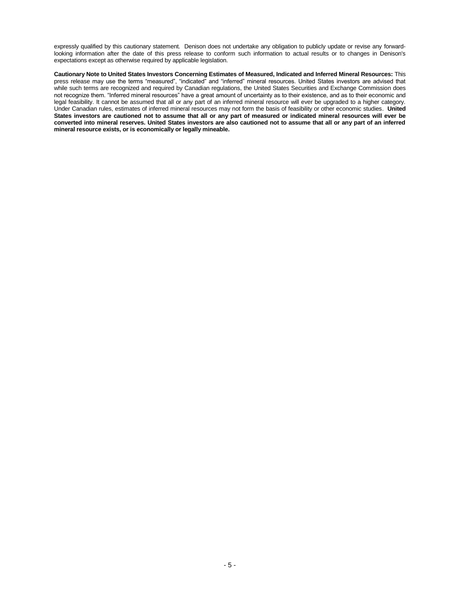expressly qualified by this cautionary statement. Denison does not undertake any obligation to publicly update or revise any forwardlooking information after the date of this press release to conform such information to actual results or to changes in Denison's expectations except as otherwise required by applicable legislation.

**Cautionary Note to United States Investors Concerning Estimates of Measured, Indicated and Inferred Mineral Resources:** This press release may use the terms "measured", "indicated" and "inferred" mineral resources. United States investors are advised that while such terms are recognized and required by Canadian regulations, the United States Securities and Exchange Commission does not recognize them. "Inferred mineral resources" have a great amount of uncertainty as to their existence, and as to their economic and legal feasibility. It cannot be assumed that all or any part of an inferred mineral resource will ever be upgraded to a higher category. Under Canadian rules, estimates of inferred mineral resources may not form the basis of feasibility or other economic studies. **United States investors are cautioned not to assume that all or any part of measured or indicated mineral resources will ever be converted into mineral reserves. United States investors are also cautioned not to assume that all or any part of an inferred mineral resource exists, or is economically or legally mineable.**